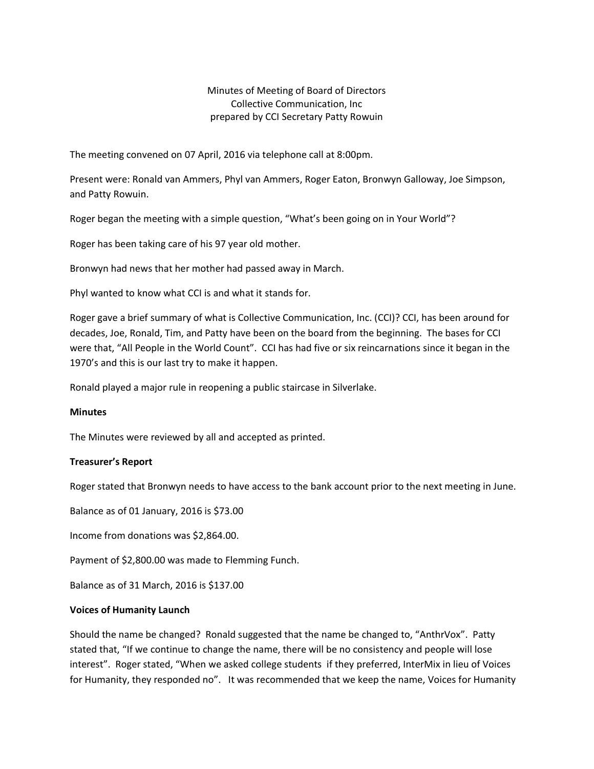# Minutes of Meeting of Board of Directors Collective Communication, Inc prepared by CCI Secretary Patty Rowuin

The meeting convened on 07 April, 2016 via telephone call at 8:00pm.

Present were: Ronald van Ammers, Phyl van Ammers, Roger Eaton, Bronwyn Galloway, Joe Simpson, and Patty Rowuin.

Roger began the meeting with a simple question, "What's been going on in Your World"?

Roger has been taking care of his 97 year old mother.

Bronwyn had news that her mother had passed away in March.

Phyl wanted to know what CCI is and what it stands for.

Roger gave a brief summary of what is Collective Communication, Inc. (CCI)? CCI, has been around for decades, Joe, Ronald, Tim, and Patty have been on the board from the beginning. The bases for CCI were that, "All People in the World Count". CCI has had five or six reincarnations since it began in the 1970's and this is our last try to make it happen.

Ronald played a major rule in reopening a public staircase in Silverlake.

#### **Minutes**

The Minutes were reviewed by all and accepted as printed.

# **Treasurer's Report**

Roger stated that Bronwyn needs to have access to the bank account prior to the next meeting in June.

Balance as of 01 January, 2016 is \$73.00

Income from donations was \$2,864.00.

Payment of \$2,800.00 was made to Flemming Funch.

Balance as of 31 March, 2016 is \$137.00

#### **Voices of Humanity Launch**

Should the name be changed? Ronald suggested that the name be changed to, "AnthrVox". Patty stated that, "If we continue to change the name, there will be no consistency and people will lose interest". Roger stated, "When we asked college students if they preferred, InterMix in lieu of Voices for Humanity, they responded no". It was recommended that we keep the name, Voices for Humanity